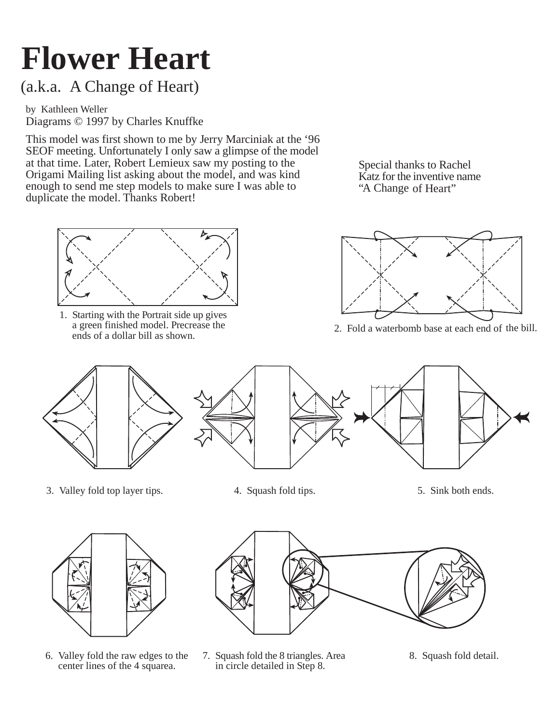## **Flower Heart**

(a.k.a. A Change of Heart)

by Kathleen Weller Diagrams © 1997 by Charles Knuffke

This model was first shown to me by Jerry Marciniak at the '96 SEOF meeting. Unfortunately I only saw a glimpse of the model at that time. Later, Robert Lemieux saw my posting to the Origami Mailing list asking about the model, and was kind enough to send me step models to make sure I was able to duplicate the model. Thanks Robert!



1. Starting with the Portrait side up gives a green finished model. Precrease the ends of a dollar bill as shown.

Special thanks to Rachel Katz for the inventive name "A Change of Heart"



2. Fold a waterbomb base at each end of the bill.



- 
- 
- 3. Valley fold top layer tips. 4. Squash fold tips. 5. Sink both ends.
- 



6. Valley fold the raw edges to the center lines of the 4 squarea.



- 7. Squash fold the 8 triangles. Area in circle detailed in Step 8.
- 8. Squash fold detail.